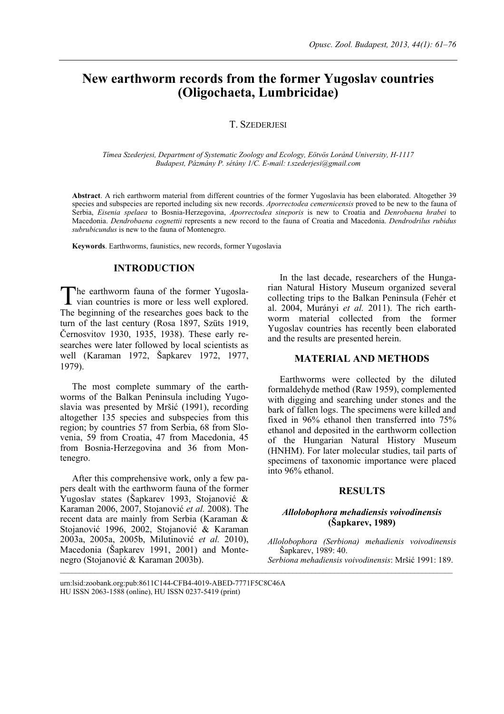# **New earthworm records from the former Yugoslav countries (Oligochaeta, Lumbricidae)**

## T. SZEDERJESI

*Tímea Szederjesi, Department of Systematic Zoology and Ecology, Eötvös Loránd University, H-1117 Budapest, Pázmány P. sétány 1/C. E-mail: t.szederjesi@gmail.com* 

**Abstract**. A rich earthworm material from different countries of the former Yugoslavia has been elaborated. Altogether 39 species and subspecies are reported including six new records. *Aporrectodea cemernicensis* proved to be new to the fauna of Serbia, *Eisenia spelaea* to Bosnia-Herzegovina, *Aporrectodea sineporis* is new to Croatia and *Denrobaena hrabei* to Macedonia. *Dendrobaena cognettii* represents a new record to the fauna of Croatia and Macedonia. *Dendrodrilus rubidus subrubicundus* is new to the fauna of Montenegro.

 $\mathcal{L}_\text{max}$ 

**Keywords**. Earthworms, faunistics, new records, former Yugoslavia

## **INTRODUCTION**

he earthworm fauna of the former Yugosla-The earthworm fauna of the former Yugosla-<br>vian countries is more or less well explored. The beginning of the researches goes back to the turn of the last century (Rosa 1897, Szüts 1919, Černosvitov 1930, 1935, 1938). These early researches were later followed by local scientists as well (Karaman 1972, Šapkarev 1972, 1977, 1979).

The most complete summary of the earthworms of the Balkan Peninsula including Yugoslavia was presented by Mršić (1991), recording altogether 135 species and subspecies from this region; by countries 57 from Serbia, 68 from Slovenia, 59 from Croatia, 47 from Macedonia, 45 from Bosnia-Herzegovina and 36 from Montenegro.

After this comprehensive work, only a few papers dealt with the earthworm fauna of the former Yugoslav states (Šapkarev 1993, Stojanović & Karaman 2006, 2007, Stojanović *et al.* 2008). The recent data are mainly from Serbia (Karaman & Stojanović 1996, 2002, Stojanović & Karaman 2003a, 2005a, 2005b, Milutinović *et al.* 2010), Macedonia (Šapkarev 1991, 2001) and Montenegro (Stojanović & Karaman 2003b).

In the last decade, researchers of the Hungarian Natural History Museum organized several collecting trips to the Balkan Peninsula (Fehér et al. 2004, Murányi *et al.* 2011). The rich earthworm material collected from the former Yugoslav countries has recently been elaborated and the results are presented herein.

## **MATERIAL AND METHODS**

Earthworms were collected by the diluted formaldehyde method (Raw 1959), complemented with digging and searching under stones and the bark of fallen logs. The specimens were killed and fixed in 96% ethanol then transferred into 75% ethanol and deposited in the earthworm collection of the Hungarian Natural History Museum (HNHM). For later molecular studies, tail parts of specimens of taxonomic importance were placed into 96% ethanol.

## **RESULTS**

## *Allolobophora mehadiensis voivodinensis*  **(Šapkarev, 1989)**

*Allolobophora (Serbiona) mehadienis voivodinensis* Šapkarev, 1989: 40.

*Serbiona mehadiensis voivodinensis*: Mršić 1991: 189.

urn:lsid:zoobank.org:pub:8611C144-CFB4-4019-ABED-7771F5C8C46A HU ISSN 2063-1588 (online), HU ISSN 0237-5419 (print)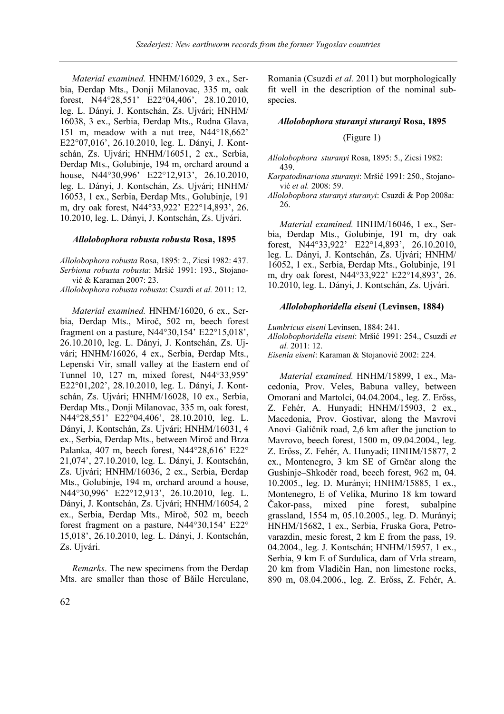*Material examined.* HNHM/16029, 3 ex., Serbia, Đerdap Mts., Donji Milanovac, 335 m, oak forest, N44°28,551' E22°04,406', 28.10.2010, leg. L. Dányi, J. Kontschán, Zs. Ujvári; HNHM/ 16038, 3 ex., Serbia, Đerdap Mts., Rudna Glava, 151 m, meadow with a nut tree, N44°18,662' E22°07,016', 26.10.2010, leg. L. Dányi, J. Kontschán, Zs. Ujvári; HNHM/16051, 2 ex., Serbia, Đerdap Mts., Golubinje, 194 m, orchard around a house, N44°30,996' E22°12,913', 26.10.2010, leg. L. Dányi, J. Kontschán, Zs. Ujvári; HNHM/ 16053, 1 ex., Serbia, Đerdap Mts., Golubinje, 191 m, dry oak forest, N44°33,922' E22°14,893', 26. 10.2010, leg. L. Dányi, J. Kontschán, Zs. Ujvári.

## *Allolobophora robusta robusta* **Rosa, 1895**

*Allolobophora robusta* Rosa, 1895: 2., Zicsi 1982: 437. *Serbiona robusta robusta*: Mršić 1991: 193., Stojanović & Karaman 2007: 23.

*Allolobophora robusta robusta*: Csuzdi *et al.* 2011: 12.

*Material examined.* HNHM/16020, 6 ex., Serbia, Đerdap Mts., Miroč, 502 m, beech forest fragment on a pasture, N44°30,154' E22°15,018', 26.10.2010, leg. L. Dányi, J. Kontschán, Zs. Ujvári; HNHM/16026, 4 ex., Serbia, Đerdap Mts., Lepenski Vir, small valley at the Eastern end of Tunnel 10, 127 m, mixed forest, N44°33,959' E22°01,202', 28.10.2010, leg. L. Dányi, J. Kontschán, Zs. Ujvári; HNHM/16028, 10 ex., Serbia, Đerdap Mts., Donji Milanovac, 335 m, oak forest, N44°28,551' E22°04,406', 28.10.2010, leg. L. Dányi, J. Kontschán, Zs. Ujvári; HNHM/16031, 4 ex., Serbia, Đerdap Mts., between Miroč and Brza Palanka, 407 m, beech forest, N44°28,616' E22° 21,074', 27.10.2010, leg. L. Dányi, J. Kontschán, Zs. Ujvári; HNHM/16036, 2 ex., Serbia, Đerdap Mts., Golubinje, 194 m, orchard around a house, N44°30,996' E22°12,913', 26.10.2010, leg. L. Dányi, J. Kontschán, Zs. Ujvári; HNHM/16054, 2 ex., Serbia, Đerdap Mts., Miroč, 502 m, beech forest fragment on a pasture, N44°30,154' E22° 15,018', 26.10.2010, leg. L. Dányi, J. Kontschán, Zs. Ujvári.

*Remarks*. The new specimens from the Đerdap Mts. are smaller than those of Bǎile Herculane, Romania (Csuzdi *et al.* 2011) but morphologically fit well in the description of the nominal subspecies.

### *Allolobophora sturanyi sturanyi* **Rosa, 1895**

## (Figure 1)

- *Allolobophora sturanyi* Rosa, 1895: 5., Zicsi 1982: 439.
- *Karpatodinariona sturanyi*: Mršić 1991: 250., Stojanović *et al.* 2008: 59.
- *Allolobophora sturanyi sturanyi*: Csuzdi & Pop 2008a: 26.

*Material examined.* HNHM/16046, 1 ex., Serbia, Đerdap Mts., Golubinje, 191 m, dry oak forest, N44°33,922' E22°14,893', 26.10.2010, leg. L. Dányi, J. Kontschán, Zs. Ujvári; HNHM/ 16052, 1 ex., Serbia, Đerdap Mts., Golubinje, 191 m, dry oak forest, N44°33,922' E22°14,893', 26. 10.2010, leg. L. Dányi, J. Kontschán, Zs. Ujvári.

#### *Allolobophoridella eiseni* **(Levinsen, 1884)**

*Lumbricus eiseni* Levinsen, 1884: 241.

- *Allolobophoridella eiseni*: Mršić 1991: 254., Csuzdi *et al.* 2011: 12.
- *Eisenia eiseni*: Karaman & Stojanović 2002: 224.

*Material examined.* HNHM/15899, 1 ex., Macedonia, Prov. Veles, Babuna valley, between Omorani and Martolci, 04.04.2004., leg. Z. Erőss, Z. Fehér, A. Hunyadi; HNHM/15903, 2 ex., Macedonia, Prov. Gostivar, along the Mavrovi Anovi–Galičnik road, 2,6 km after the junction to Mavrovo, beech forest, 1500 m, 09.04.2004., leg. Z. Erőss, Z. Fehér, A. Hunyadi; HNHM/15877, 2 ex., Montenegro, 3 km SE of Grnčar along the Gushinje–Shkodër road, beech forest, 962 m, 04. 10.2005., leg. D. Murányi; HNHM/15885, 1 ex., Montenegro, E of Velika, Murino 18 km toward Čakor-pass, mixed pine forest, subalpine grassland, 1554 m, 05.10.2005., leg. D. Murányi; HNHM/15682, 1 ex., Serbia, Fruska Gora, Petrovarazdin, mesic forest, 2 km E from the pass, 19. 04.2004., leg. J. Kontschán; HNHM/15957, 1 ex., Serbia, 9 km E of Surdulica, dam of Vrla stream, 20 km from Vladičin Han, non limestone rocks, 890 m, 08.04.2006., leg. Z. Erőss, Z. Fehér, A.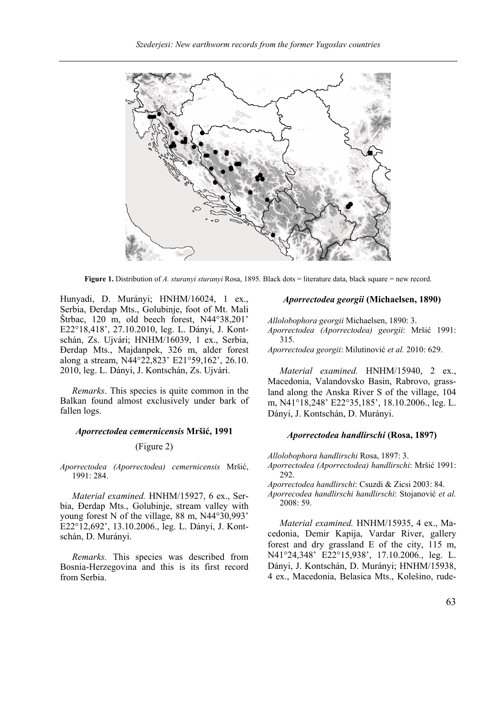

**Figure 1.** Distribution of *A. sturanyi sturanyi* Rosa, 1895. Black dots = literature data, black square = new record.

Hunyadi, D. Murányi; HNHM/16024, 1 ex., Serbia, Đerdap Mts., Golubinje, foot of Mt. Mali Štrbac, 120 m, old beech forest, N44°38,201' E22°18,418', 27.10.2010, leg. L. Dányi, J. Kontschán, Zs. Ujvári; HNHM/16039, 1 ex., Serbia, Đerdap Mts., Majdanpek, 326 m, alder forest along a stream, N44°22,823' E21°59,162', 26.10. 2010, leg. L. Dányi, J. Kontschán, Zs. Ujvári.

*Remarks*. This species is quite common in the Balkan found almost exclusively under bark of fallen logs.

### *Aporrectodea cemernicensis* **Mršić, 1991**

#### (Figure 2)

*Aporrectodea (Aporrectodea) cemernicensis* Mršić, 1991: 284.

*Material examined.* HNHM/15927, 6 ex., Serbia, Đerdap Mts., Golubinje, stream valley with young forest N of the village, 88 m, N44°30,993' E22°12,692', 13.10.2006., leg. L. Dányi, J. Kontschán, D. Murányi.

*Remarks.* This species was described from Bosnia-Herzegovina and this is its first record from Serbia.

## *Aporrectodea georgii* **(Michaelsen, 1890)**

*Allolobophora georgii* Michaelsen, 1890: 3. *Aporrectodea (Aporrectodea) georgii*: Mršić 1991: 315.

*Aporrectodea georgii*: Milutinović *et al.* 2010: 629.

*Material examined.* HNHM/15940, 2 ex., Macedonia, Valandovsko Basin, Rabrovo, grassland along the Anska River S of the village, 104 m, N41°18,248' E22°35,185', 18.10.2006., leg. L. Dányi, J. Kontschán, D. Murányi.

#### *Aporrectodea handlirschi* **(Rosa, 1897)**

*Allolobophora handlirschi* Rosa, 1897: 3.

*Aporrectodea (Aporrectodea) handlirschi*: Mršić 1991: 292.

*Aporrectodea handlirschi*: Csuzdi & Zicsi 2003: 84.

*Aporrecodea handlirschi handlirschi*: Stojanović *et al.* 2008: 59.

*Material examined.* HNHM/15935, 4 ex., Macedonia, Demir Kapija, Vardar River, gallery forest and dry grassland E of the city, 115 m, N41°24,348' E22°15,938', 17.10.2006., leg. L. Dányi, J. Kontschán, D. Murányi; HNHM/15938, 4 ex., Macedonia, Belasica Mts., Kolešino, rude-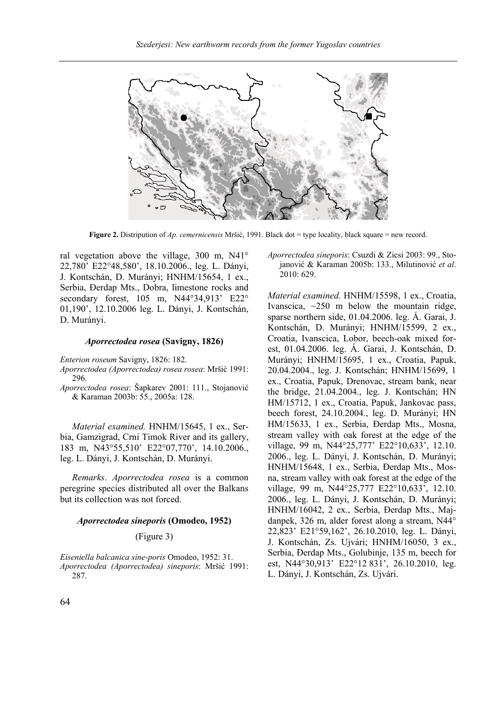

**Figure 2.** Distripution of *Ap. cemernicensis* Mršić, 1991. Black dot = type locality, black square = new record.

ral vegetation above the village, 300 m, N41° 22,780' E22°48,580', 18.10.2006., leg. L. Dányi, J. Kontschán, D. Murányi; HNHM/15654, 1 ex., Serbia, Đerdap Mts., Dobra, limestone rocks and secondary forest, 105 m, N44°34,913' E22° 01,190', 12.10.2006 leg. L. Dányi, J. Kontschán, D. Murányi.

#### *Aporrectodea rosea* **(Savigny, 1826)**

*Enterion roseum* Savigny, 1826: 182.

*Aporrectodea (Aporrectodea) rosea rosea*: Mršić 1991: 296.

*Aporrectodea rosea*: Šapkarev 2001: 111., Stojanović & Karaman 2003b: 55., 2005a: 128.

*Material examined.* HNHM/15645, 1 ex., Serbia, Gamzigrad, Crni Timok River and its gallery, 183 m, N43°55,510' E22°07,770', 14.10.2006., leg. L. Dányi, J. Kontschán, D. Murányi.

*Remarks*. *Aporrectodea rosea* is a common peregrine species distributed all over the Balkans but its collection was not forced.

#### *Aporrectodea sineporis* **(Omodeo, 1952)**

## (Figure 3)

*Eiseniella balcanica sine-poris* Omodeo, 1952: 31. *Aporrectodea (Aporrectodea) sineporis*: Mršić 1991: 287.

*Aporrectodea sineporis*: Csuzdi & Zicsi 2003: 99., Stojanović & Karaman 2005b: 133., Milutinović *et al*. 2010: 629.

*Material examined.* HNHM/15598, 1 ex., Croatia, Ivanscica,  $\sim$ 250 m below the mountain ridge, sparse northern side, 01.04.2006. leg. Á. Garai, J. Kontschán, D. Murányi; HNHM/15599, 2 ex., Croatia, Ivanscica, Lobor, beech-oak mixed forest, 01.04.2006. leg. Á. Garai, J. Kontschán, D. Murányi; HNHM/15695, 1 ex., Croatia, Papuk, 20.04.2004., leg. J. Kontschán; HNHM/15699, 1 ex., Croatia, Papuk, Drenovac, stream bank, near the bridge, 21.04.2004., leg. J. Kontschán; HN HM/15712, 1 ex., Croatia, Papuk, Jankovac pass, beech forest, 24.10.2004., leg. D. Murányi; HN HM/15633, 1 ex., Serbia, Đerdap Mts., Mosna, stream valley with oak forest at the edge of the village, 99 m, N44°25,777' E22°10,633', 12.10. 2006., leg. L. Dányi, J. Kontschán, D. Murányi; HNHM/15648, 1 ex., Serbia, Đerdap Mts., Mosna, stream valley with oak forest at the edge of the village, 99 m, N44°25,777 E22°10,633', 12.10. 2006., leg. L. Dányi, J. Kontschán, D. Murányi; HNHM/16042, 2 ex., Serbia, Đerdap Mts., Majdanpek, 326 m, alder forest along a stream, N44° 22,823' E21°59,162', 26.10.2010, leg. L. Dányi, J. Kontschán, Zs. Ujvári; HNHM/16050, 3 ex., Serbia, Đerdap Mts., Golubinje, 135 m, beech for est, N44°30,913' E22°12 831', 26.10.2010, leg. L. Dányi, J. Kontschán, Zs. Ujvári.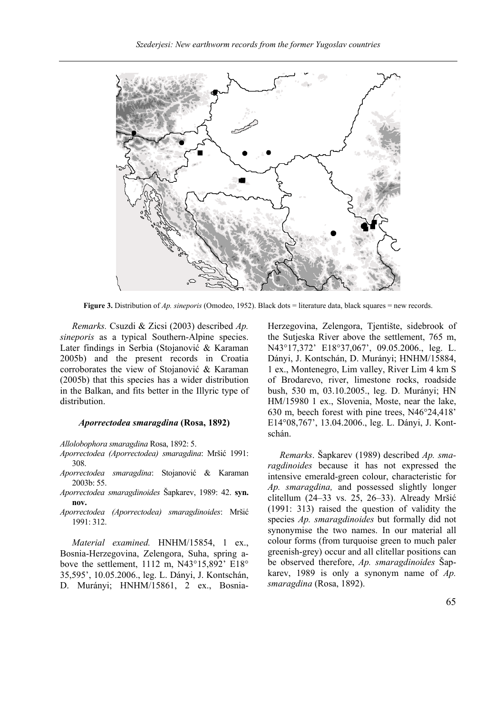

**Figure 3.** Distribution of *Ap. sineporis* (Omodeo, 1952). Black dots = literature data, black squares = new records.

*Remarks.* Csuzdi & Zicsi (2003) described *Ap. sineporis* as a typical Southern-Alpine species. Later findings in Serbia (Stojanović & Karaman 2005b) and the present records in Croatia corroborates the view of Stojanović & Karaman (2005b) that this species has a wider distribution in the Balkan, and fits better in the Illyric type of distribution.

#### *Aporrectodea smaragdina* **(Rosa, 1892)**

*Allolobophora smaragdina* Rosa, 1892: 5.

*Aporrectodea (Aporrectodea) smaragdina*: Mršić 1991: 308.

*Aporrectodea smaragdina*: Stojanović & Karaman 2003b: 55.

*Aporrectodea smaragdinoides* Šapkarev, 1989: 42. **syn. nov.**

*Aporrectodea (Aporrectodea) smaragdinoides*: Mršić 1991: 312.

*Material examined.* HNHM/15854, 1 ex., Bosnia-Herzegovina, Zelengora, Suha, spring above the settlement, 1112 m, N43°15,892' E18° 35,595', 10.05.2006., leg. L. Dányi, J. Kontschán, D. Murányi; HNHM/15861, 2 ex., BosniaHerzegovina, Zelengora, Tjentište, sidebrook of the Sutjeska River above the settlement, 765 m, N43°17,372' E18°37,067', 09.05.2006., leg. L. Dányi, J. Kontschán, D. Murányi; HNHM/15884, 1 ex., Montenegro, Lim valley, River Lim 4 km S of Brodarevo, river, limestone rocks, roadside bush, 530 m, 03.10.2005., leg. D. Murányi; HN HM/15980 1 ex., Slovenia, Moste, near the lake, 630 m, beech forest with pine trees, N46°24,418' E14°08,767', 13.04.2006., leg. L. Dányi, J. Kontschán.

*Remarks*. Šapkarev (1989) described *Ap. smaragdinoides* because it has not expressed the intensive emerald-green colour, characteristic for *Ap. smaragdina,* and possessed slightly longer clitellum (24–33 vs. 25, 26–33). Already Mršić (1991: 313) raised the question of validity the species *Ap. smaragdinoides* but formally did not synonymise the two names. In our material all colour forms (from turquoise green to much paler greenish-grey) occur and all clitellar positions can be observed therefore, *Ap. smaragdinoides* Šapkarev, 1989 is only a synonym name of *Ap. smaragdina* (Rosa, 1892).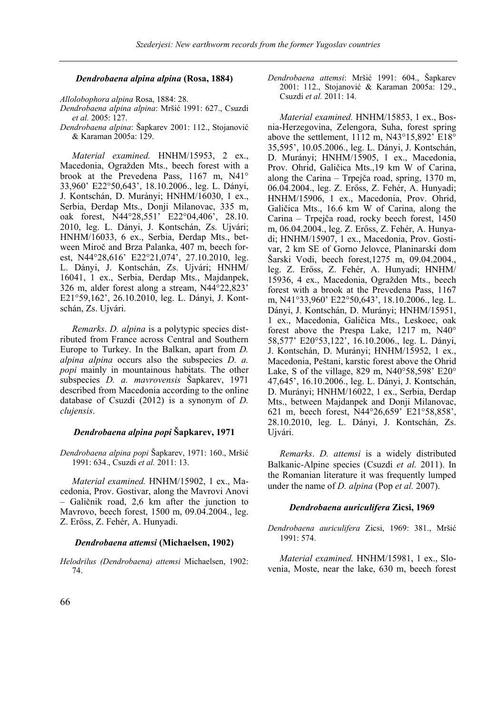## *Dendrobaena alpina alpina* **(Rosa, 1884)**

*Allolobophora alpina* Rosa, 1884: 28.

*Dendrobaena alpina alpina*: Mršić 1991: 627., Csuzdi *et al.* 2005: 127.

*Dendrobaena alpina*: Šapkarev 2001: 112., Stojanović & Karaman 2005a: 129.

*Material examined.* HNHM/15953, 2 ex., Macedonia, Ogražden Mts., beech forest with a brook at the Prevedena Pass, 1167 m, N41° 33,960' E22°50,643', 18.10.2006., leg. L. Dányi, J. Kontschán, D. Murányi; HNHM/16030, 1 ex., Serbia, Đerdap Mts., Donji Milanovac, 335 m, oak forest, N44°28,551' E22°04,406', 28.10. 2010, leg. L. Dányi, J. Kontschán, Zs. Ujvári; HNHM/16033, 6 ex., Serbia, Đerdap Mts., between Miroč and Brza Palanka, 407 m, beech forest, N44°28,616' E22°21,074', 27.10.2010, leg. L. Dányi, J. Kontschán, Zs. Ujvári; HNHM/ 16041, 1 ex., Serbia, Đerdap Mts., Majdanpek, 326 m, alder forest along a stream, N44°22,823' E21°59,162', 26.10.2010, leg. L. Dányi, J. Kontschán, Zs. Ujvári.

*Remarks*. *D. alpina* is a polytypic species distributed from France across Central and Southern Europe to Turkey. In the Balkan, apart from *D. alpina alpina* occurs also the subspecies *D. a. popi* mainly in mountainous habitats. The other subspecies *D. a. mavrovensis* Šapkarev, 1971 described from Macedonia according to the online database of Csuzdi (2012) is a synonym of *D. clujensis*.

## *Dendrobaena alpina popi* **Šapkarev, 1971**

*Dendrobaena alpina popi* Šapkarev, 1971: 160., Mršić 1991: 634., Csuzdi *et al.* 2011: 13.

*Material examined.* HNHM/15902, 1 ex., Macedonia, Prov. Gostivar, along the Mavrovi Anovi – Galičnik road, 2,6 km after the junction to Mavrovo, beech forest, 1500 m, 09.04.2004., leg. Z. Erőss, Z. Fehér, A. Hunyadi.

#### *Dendrobaena attemsi* **(Michaelsen, 1902)**

*Helodrilus (Dendrobaena) attemsi* Michaelsen, 1902: 74.

*Dendrobaena attemsi*: Mršić 1991: 604., Šapkarev 2001: 112., Stojanović & Karaman 2005a: 129., Csuzdi *et al.* 2011: 14.

*Material examined.* HNHM/15853, 1 ex., Bosnia-Herzegovina, Zelengora, Suha, forest spring above the settlement, 1112 m, N43°15,892' E18° 35,595', 10.05.2006., leg. L. Dányi, J. Kontschán, D. Murányi; HNHM/15905, 1 ex., Macedonia, Prov. Ohrid, Galičica Mts.,19 km W of Carina, along the Carina – Trpejča road, spring, 1370 m, 06.04.2004., leg. Z. Erőss, Z. Fehér, A. Hunyadi; HNHM/15906, 1 ex., Macedonia, Prov. Ohrid, Galičica Mts., 16.6 km W of Carina, along the Carina – Trpejča road, rocky beech forest, 1450 m, 06.04.2004., leg. Z. Erőss, Z. Fehér, A. Hunyadi; HNHM/15907, 1 ex., Macedonia, Prov. Gostivar, 2 km SE of Gorno Jelovce, Planinarski dom Šarski Vodi, beech forest,1275 m, 09.04.2004., leg. Z. Erőss, Z. Fehér, A. Hunyadi; HNHM/ 15936, 4 ex., Macedonia, Ogražden Mts., beech forest with a brook at the Prevedena Pass, 1167 m, N41°33,960' E22°50,643', 18.10.2006., leg. L. Dányi, J. Kontschán, D. Murányi; HNHM/15951, 1 ex., Macedonia, Galičica Mts., Leskoec, oak forest above the Prespa Lake, 1217 m, N40° 58,577' E20°53,122', 16.10.2006., leg. L. Dányi, J. Kontschán, D. Murányi; HNHM/15952, 1 ex., Macedonia, Peštani, karstic forest above the Ohrid Lake, S of the village, 829 m, N40°58,598' E20° 47,645', 16.10.2006., leg. L. Dányi, J. Kontschán, D. Murányi; HNHM/16022, 1 ex., Serbia, Đerdap Mts., between Majdanpek and Donji Milanovac, 621 m, beech forest, N44°26,659' E21°58,858', 28.10.2010, leg. L. Dányi, J. Kontschán, Zs. Ujvári.

*Remarks*. *D. attemsi* is a widely distributed Balkanic-Alpine species (Csuzdi *et al.* 2011). In the Romanian literature it was frequently lumped under the name of *D. alpina* (Pop *et al.* 2007).

### *Dendrobaena auriculifera* **Zicsi, 1969**

*Dendrobaena auriculifera* Zicsi, 1969: 381., Mršić 1991: 574.

*Material examined.* HNHM/15981, 1 ex., Slovenia, Moste, near the lake, 630 m, beech forest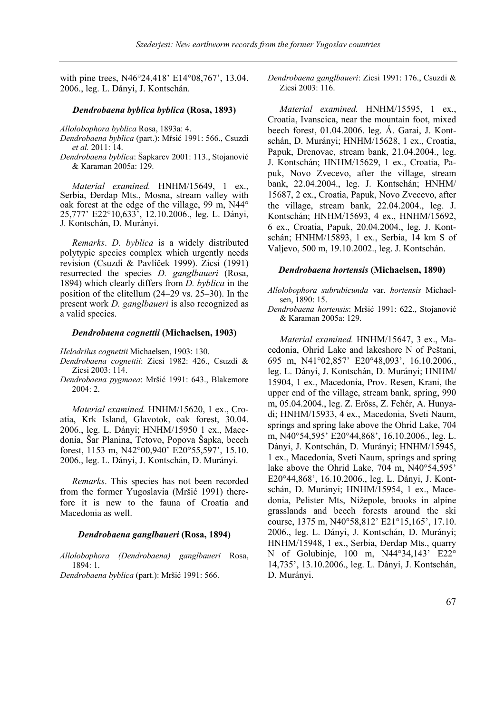with pine trees, N46°24,418' E14°08,767', 13.04. 2006., leg. L. Dányi, J. Kontschán.

#### *Dendrobaena byblica byblica* **(Rosa, 1893)**

*Allolobophora byblica* Rosa, 1893a: 4.

- *Dendrobaena byblica* (part.): Mřsić 1991: 566., Csuzdi *et al.* 2011: 14.
- *Dendrobaena byblica*: Šapkarev 2001: 113., Stojanović & Karaman 2005a: 129.

*Material examined.* HNHM/15649, 1 ex., Serbia, Đerdap Mts., Mosna, stream valley with oak forest at the edge of the village, 99 m, N44° 25,777' E22°10,633', 12.10.2006., leg. L. Dányi, J. Kontschán, D. Murányi.

*Remarks*. *D. byblica* is a widely distributed polytypic species complex which urgently needs revision (Csuzdi & Pavlíček 1999). Zicsi (1991) resurrected the species *D. ganglbaueri* (Rosa, 1894) which clearly differs from *D. byblica* in the position of the clitellum (24–29 vs. 25–30). In the present work *D. ganglbaueri* is also recognized as a valid species.

#### *Dendrobaena cognettii* **(Michaelsen, 1903)**

*Helodrilus cognettii* Michaelsen, 1903: 130.

- *Dendrobaena cognettii*: Zicsi 1982: 426., Csuzdi & Zicsi 2003: 114.
- *Dendrobaena pygmaea*: Mršić 1991: 643., Blakemore 2004: 2.

*Material examined.* HNHM/15620, 1 ex., Croatia, Krk Island, Glavotok, oak forest, 30.04. 2006., leg. L. Dányi; HNHM/15950 1 ex., Macedonia, Šar Planina, Tetovo, Popova Šapka, beech forest, 1153 m, N42°00,940' E20°55,597', 15.10. 2006., leg. L. Dányi, J. Kontschán, D. Murányi.

*Remarks*. This species has not been recorded from the former Yugoslavia (Mršić 1991) therefore it is new to the fauna of Croatia and Macedonia as well.

## *Dendrobaena ganglbaueri* **(Rosa, 1894)**

*Allolobophora (Dendrobaena) ganglbaueri* Rosa, 1894: 1.

*Dendrobaena byblica* (part.): Mršić 1991: 566.

*Dendrobaena ganglbaueri*: Zicsi 1991: 176., Csuzdi & Zicsi 2003: 116.

*Material examined.* HNHM/15595, 1 ex., Croatia, Ivanscica, near the mountain foot, mixed beech forest, 01.04.2006. leg. Á. Garai, J. Kontschán, D. Murányi; HNHM/15628, 1 ex., Croatia, Papuk, Drenovac, stream bank, 21.04.2004., leg. J. Kontschán; HNHM/15629, 1 ex., Croatia, Papuk, Novo Zvecevo, after the village, stream bank, 22.04.2004., leg. J. Kontschán; HNHM/ 15687, 2 ex., Croatia, Papuk, Novo Zvecevo, after the village, stream bank, 22.04.2004., leg. J. Kontschán; HNHM/15693, 4 ex., HNHM/15692, 6 ex., Croatia, Papuk, 20.04.2004., leg. J. Kontschán; HNHM/15893, 1 ex., Serbia, 14 km S of Valjevo, 500 m, 19.10.2002., leg. J. Kontschán.

#### *Dendrobaena hortensis* **(Michaelsen, 1890)**

*Allolobophora subrubicunda* var. *hortensis* Michaelsen, 1890: 15.

*Dendrobaena hortensis*: Mršić 1991: 622., Stojanović & Karaman 2005a: 129.

*Material examined.* HNHM/15647, 3 ex., Macedonia, Ohrid Lake and lakeshore N of Peštani, 695 m, N41°02,857' E20°48,093', 16.10.2006., leg. L. Dányi, J. Kontschán, D. Murányi; HNHM/ 15904, 1 ex., Macedonia, Prov. Resen, Krani, the upper end of the village, stream bank, spring, 990 m, 05.04.2004., leg. Z. Erőss, Z. Fehér, A. Hunyadi; HNHM/15933, 4 ex., Macedonia, Sveti Naum, springs and spring lake above the Ohrid Lake, 704 m, N40°54,595' E20°44,868', 16.10.2006., leg. L. Dányi, J. Kontschán, D. Murányi; HNHM/15945, 1 ex., Macedonia, Sveti Naum, springs and spring lake above the Ohrid Lake, 704 m, N40°54,595' E20°44,868', 16.10.2006., leg. L. Dányi, J. Kontschán, D. Murányi; HNHM/15954, 1 ex., Macedonia, Pelister Mts, Nižepole, brooks in alpine grasslands and beech forests around the ski course, 1375 m, N40°58,812' E21°15,165', 17.10. 2006., leg. L. Dányi, J. Kontschán, D. Murányi; HNHM/15948, 1 ex., Serbia, Đerdap Mts., quarry N of Golubinje, 100 m, N44°34,143' E22° 14,735', 13.10.2006., leg. L. Dányi, J. Kontschán, D. Murányi.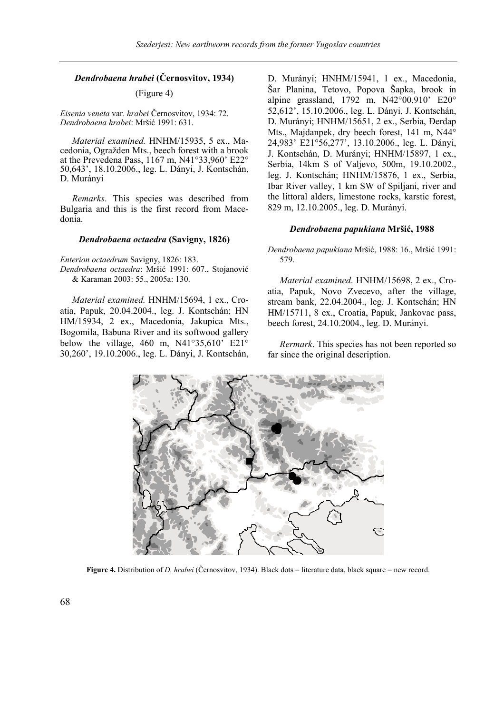## *Dendrobaena hrabei* **(Černosvitov, 1934)**

## (Figure 4)

*Eisenia veneta* var*. hrabei* Černosvitov, 1934: 72. *Dendrobaena hrabei*: Mršić 1991: 631.

*Material examined.* HNHM/15935, 5 ex., Macedonia, Ogražden Mts., beech forest with a brook at the Prevedena Pass, 1167 m, N41°33,960' E22° 50,643', 18.10.2006., leg. L. Dányi, J. Kontschán, D. Murányi

*Remarks*. This species was described from Bulgaria and this is the first record from Macedonia.

#### *Dendrobaena octaedra* **(Savigny, 1826)**

*Enterion octaedrum* Savigny, 1826: 183. *Dendrobaena octaedra*: Mršić 1991: 607., Stojanović & Karaman 2003: 55., 2005a: 130.

*Material examined.* HNHM/15694, 1 ex., Croatia, Papuk, 20.04.2004., leg. J. Kontschán; HN HM/15934, 2 ex., Macedonia, Jakupica Mts., Bogomila, Babuna River and its softwood gallery below the village, 460 m,  $N41^{\circ}35,610^{\circ}$  E21° 30,260', 19.10.2006., leg. L. Dányi, J. Kontschán, D. Murányi; HNHM/15941, 1 ex., Macedonia, Šar Planina, Tetovo, Popova Šapka, brook in alpine grassland, 1792 m, N42°00,910' E20° 52,612', 15.10.2006., leg. L. Dányi, J. Kontschán, D. Murányi; HNHM/15651, 2 ex., Serbia, Đerdap Mts., Majdanpek, dry beech forest, 141 m, N44° 24,983' E21°56,277', 13.10.2006., leg. L. Dányi, J. Kontschán, D. Murányi; HNHM/15897, 1 ex., Serbia, 14km S of Valjevo, 500m, 19.10.2002., leg. J. Kontschán; HNHM/15876, 1 ex., Serbia, Ibar River valley, 1 km SW of Spiljani, river and the littoral alders, limestone rocks, karstic forest, 829 m, 12.10.2005., leg. D. Murányi.

## *Dendrobaena papukiana* **Mršić, 1988**

## *Dendrobaena papukiana* Mršić, 1988: 16., Mršić 1991: 579.

*Material examined*. HNHM/15698, 2 ex., Croatia, Papuk, Novo Zvecevo, after the village, stream bank, 22.04.2004., leg. J. Kontschán; HN HM/15711, 8 ex., Croatia, Papuk, Jankovac pass, beech forest, 24.10.2004., leg. D. Murányi.

*Rermark*. This species has not been reported so far since the original description.



**Figure 4.** Distribution of *D. hrabei* (Černosvitov, 1934). Black dots = literature data, black square = new record.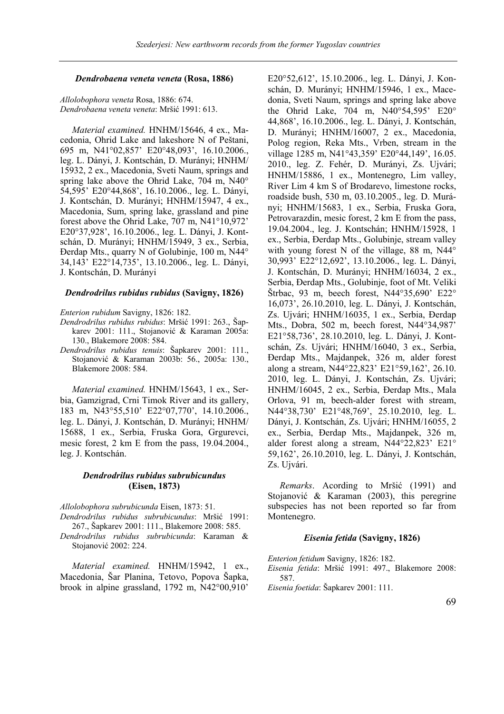#### *Dendrobaena veneta veneta* **(Rosa, 1886)**

*Allolobophora veneta* Rosa, 1886: 674. *Dendrobaena veneta veneta*: Mršić 1991: 613.

*Material examined.* HNHM/15646, 4 ex., Macedonia, Ohrid Lake and lakeshore N of Peštani, 695 m, N41°02,857' E20°48,093', 16.10.2006., leg. L. Dányi, J. Kontschán, D. Murányi; HNHM/ 15932, 2 ex., Macedonia, Sveti Naum, springs and spring lake above the Ohrid Lake, 704 m, N40° 54,595' E20°44,868', 16.10.2006., leg. L. Dányi, J. Kontschán, D. Murányi; HNHM/15947, 4 ex., Macedonia, Sum, spring lake, grassland and pine forest above the Ohrid Lake, 707 m, N41°10,972' E20°37,928', 16.10.2006., leg. L. Dányi, J. Kontschán, D. Murányi; HNHM/15949, 3 ex., Serbia, Đerdap Mts., quarry N of Golubinje, 100 m, N44° 34,143' E22°14,735', 13.10.2006., leg. L. Dányi, J. Kontschán, D. Murányi

#### *Dendrodrilus rubidus rubidus* **(Savigny, 1826)**

#### *Enterion rubidum* Savigny, 1826: 182.

- *Dendrodrilus rubidus rubidus*: Mršić 1991: 263., Šapkarev 2001: 111., Stojanović & Karaman 2005a: 130., Blakemore 2008: 584.
- *Dendrodrilus rubidus tenuis*: Šapkarev 2001: 111., Stojanović & Karaman 2003b: 56., 2005a: 130., Blakemore 2008: 584.

*Material examined.* HNHM/15643, 1 ex., Serbia, Gamzigrad, Crni Timok River and its gallery, 183 m, N43°55,510' E22°07,770', 14.10.2006., leg. L. Dányi, J. Kontschán, D. Murányi; HNHM/ 15688, 1 ex., Serbia, Fruska Gora, Grgurevci, mesic forest, 2 km E from the pass, 19.04.2004., leg. J. Kontschán.

## *Dendrodrilus rubidus subrubicundus*  **(Eisen, 1873)**

*Allolobophora subrubicunda* Eisen, 1873: 51.

*Dendrodrilus rubidus subrubicundus*: Mršić 1991: 267., Šapkarev 2001: 111., Blakemore 2008: 585.

*Dendrodrilus rubidus subrubicunda*: Karaman & Stojanović 2002: 224.

*Material examined.* HNHM/15942, 1 ex., Macedonia, Šar Planina, Tetovo, Popova Šapka, brook in alpine grassland, 1792 m, N42°00,910'

E20°52,612', 15.10.2006., leg. L. Dányi, J. Konschán, D. Murányi; HNHM/15946, 1 ex., Macedonia, Sveti Naum, springs and spring lake above the Ohrid Lake, 704 m, N40°54,595' E20° 44,868', 16.10.2006., leg. L. Dányi, J. Kontschán, D. Murányi; HNHM/16007, 2 ex., Macedonia, Polog region, Reka Mts., Vrben, stream in the village 1285 m, N41°43,359' E20°44,149', 16.05. 2010., leg. Z. Fehér, D. Murányi, Zs. Ujvári; HNHM/15886, 1 ex., Montenegro, Lim valley, River Lim 4 km S of Brodarevo, limestone rocks, roadside bush, 530 m, 03.10.2005., leg. D. Murányi; HNHM/15683, 1 ex., Serbia, Fruska Gora, Petrovarazdin, mesic forest, 2 km E from the pass, 19.04.2004., leg. J. Kontschán; HNHM/15928, 1 ex., Serbia, Đerdap Mts., Golubinje, stream valley with young forest N of the village, 88 m, N44° 30,993' E22°12,692', 13.10.2006., leg. L. Dányi, J. Kontschán, D. Murányi; HNHM/16034, 2 ex., Serbia, Đerdap Mts., Golubinje, foot of Mt. Veliki Štrbac, 93 m, beech forest, N44°35,690' E22° 16,073', 26.10.2010, leg. L. Dányi, J. Kontschán, Zs. Ujvári; HNHM/16035, 1 ex., Serbia, Đerdap Mts., Dobra, 502 m, beech forest, N44°34,987' E21°58,736', 28.10.2010, leg. L. Dányi, J. Kontschán, Zs. Ujvári; HNHM/16040, 3 ex., Serbia, Đerdap Mts., Majdanpek, 326 m, alder forest along a stream, N44°22,823' E21°59,162', 26.10. 2010, leg. L. Dányi, J. Kontschán, Zs. Ujvári; HNHM/16045, 2 ex., Serbia, Đerdap Mts., Mala Orlova, 91 m, beech-alder forest with stream, N44°38,730' E21°48,769', 25.10.2010, leg. L. Dányi, J. Kontschán, Zs. Ujvári; HNHM/16055, 2 ex., Serbia, Đerdap Mts., Majdanpek, 326 m, alder forest along a stream, N44°22,823' E21° 59,162', 26.10.2010, leg. L. Dányi, J. Kontschán, Zs. Ujvári.

*Remarks*. Acording to Mršić (1991) and Stojanović & Karaman (2003), this peregrine subspecies has not been reported so far from Montenegro.

### *Eisenia fetida* **(Savigny, 1826)**

*Enterion fetidum* Savigny, 1826: 182.

*Eisenia fetida*: Mršić 1991: 497., Blakemore 2008: 587.

*Eisenia foetida*: Šapkarev 2001: 111.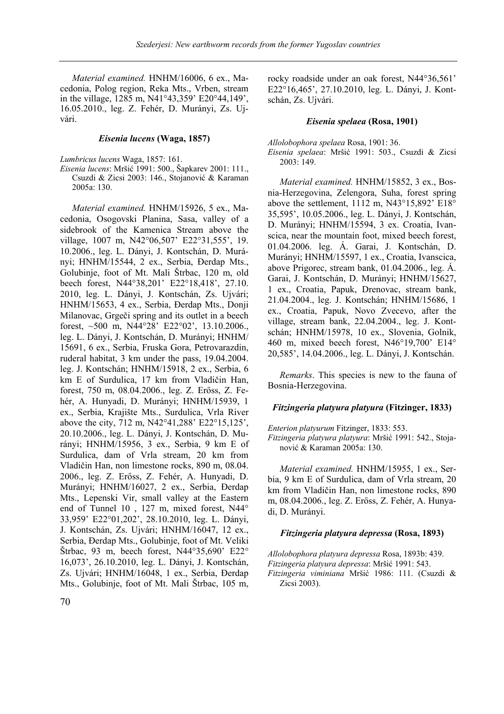*Material examined.* HNHM/16006, 6 ex., Macedonia, Polog region, Reka Mts., Vrben, stream in the village, 1285 m, N41°43,359' E20°44,149', 16.05.2010., leg. Z. Fehér, D. Murányi, Zs. Ujvári.

## *Eisenia lucens* **(Waga, 1857)**

*Lumbricus lucens* Waga, 1857: 161.

*Eisenia lucens*: Mršić 1991: 500., Šapkarev 2001: 111., Csuzdi & Zicsi 2003: 146., Stojanović & Karaman 2005a: 130.

*Material examined.* HNHM/15926, 5 ex., Macedonia, Osogovski Planina, Sasa, valley of a sidebrook of the Kamenica Stream above the village, 1007 m, N42°06,507' E22°31,555', 19. 10.2006., leg. L. Dányi, J. Kontschán, D. Murányi; HNHM/15544, 2 ex., Serbia, Đerdap Mts., Golubinje, foot of Mt. Mali Štrbac, 120 m, old beech forest, N44°38,201' E22°18,418', 27.10. 2010, leg. L. Dányi, J. Kontschán, Zs. Ujvári; HNHM/15653, 4 ex., Serbia, Đerdap Mts., Donji Milanovac, Grgeči spring and its outlet in a beech forest, ~500 m, N44°28' E22°02', 13.10.2006., leg. L. Dányi, J. Kontschán, D. Murányi; HNHM/ 15691, 6 ex., Serbia, Fruska Gora, Petrovarazdin, ruderal habitat, 3 km under the pass, 19.04.2004. leg. J. Kontschán; HNHM/15918, 2 ex., Serbia, 6 km E of Surdulica, 17 km from Vladičin Han, forest, 750 m, 08.04.2006., leg. Z. Erőss, Z. Fehér, A. Hunyadi, D. Murányi; HNHM/15939, 1 ex., Serbia, Krajište Mts., Surdulica, Vrla River above the city, 712 m, N42°41,288' E22°15,125', 20.10.2006., leg. L. Dányi, J. Kontschán, D. Murányi; HNHM/15956, 3 ex., Serbia, 9 km E of Surdulica, dam of Vrla stream, 20 km from Vladičin Han, non limestone rocks, 890 m, 08.04. 2006., leg. Z. Erőss, Z. Fehér, A. Hunyadi, D. Murányi; HNHM/16027, 2 ex., Serbia, Đerdap Mts., Lepenski Vir, small valley at the Eastern end of Tunnel 10 , 127 m, mixed forest, N44° 33,959' E22°01,202', 28.10.2010, leg. L. Dányi, J. Kontschán, Zs. Ujvári; HNHM/16047, 12 ex., Serbia, Đerdap Mts., Golubinje, foot of Mt. Veliki Štrbac, 93 m, beech forest, N44°35,690' E22° 16,073', 26.10.2010, leg. L. Dányi, J. Kontschán, Zs. Ujvári; HNHM/16048, 1 ex., Serbia, Đerdap Mts., Golubinje, foot of Mt. Mali Štrbac, 105 m,

rocky roadside under an oak forest, N44°36,561' E22°16,465', 27.10.2010, leg. L. Dányi, J. Kontschán, Zs. Ujvári.

#### *Eisenia spelaea* **(Rosa, 1901)**

*Allolobophora spelaea* Rosa, 1901: 36.

*Eisenia spelaea*: Mršić 1991: 503., Csuzdi & Zicsi 2003: 149.

*Material examined.* HNHM/15852, 3 ex., Bosnia-Herzegovina, Zelengora, Suha, forest spring above the settlement, 1112 m, N43°15,892' E18° 35,595', 10.05.2006., leg. L. Dányi, J. Kontschán, D. Murányi; HNHM/15594, 3 ex. Croatia, Ivanscica, near the mountain foot, mixed beech forest, 01.04.2006. leg. Á. Garai, J. Kontschán, D. Murányi; HNHM/15597, 1 ex., Croatia, Ivanscica, above Prigorec, stream bank, 01.04.2006., leg. Á. Garai, J. Kontschán, D. Murányi; HNHM/15627, 1 ex., Croatia, Papuk, Drenovac, stream bank, 21.04.2004., leg. J. Kontschán; HNHM/15686, 1 ex., Croatia, Papuk, Novo Zvecevo, after the village, stream bank, 22.04.2004., leg. J. Kontschán; HNHM/15978, 10 ex., Slovenia, Golnik, 460 m, mixed beech forest, N46°19,700' E14° 20,585', 14.04.2006., leg. L. Dányi, J. Kontschán.

*Remarks*. This species is new to the fauna of Bosnia-Herzegovina.

#### *Fitzingeria platyura platyura* **(Fitzinger, 1833)**

*Enterion platyurum* Fitzinger, 1833: 553.

*Fitzingeria platyura platyura*: Mršić 1991: 542., Stojanović & Karaman 2005a: 130.

*Material examined.* HNHM/15955, 1 ex., Serbia, 9 km E of Surdulica, dam of Vrla stream, 20 km from Vladičin Han, non limestone rocks, 890 m, 08.04.2006., leg. Z. Erőss, Z. Fehér, A. Hunyadi, D. Murányi.

## *Fitzingeria platyura depressa* **(Rosa, 1893)**

*Allolobophora platyura depressa* Rosa, 1893b: 439. *Fitzingeria platyura depressa*: Mršić 1991: 543. *Fitzingeria viminiana* Mršić 1986: 111. (Csuzdi & Zicsi 2003).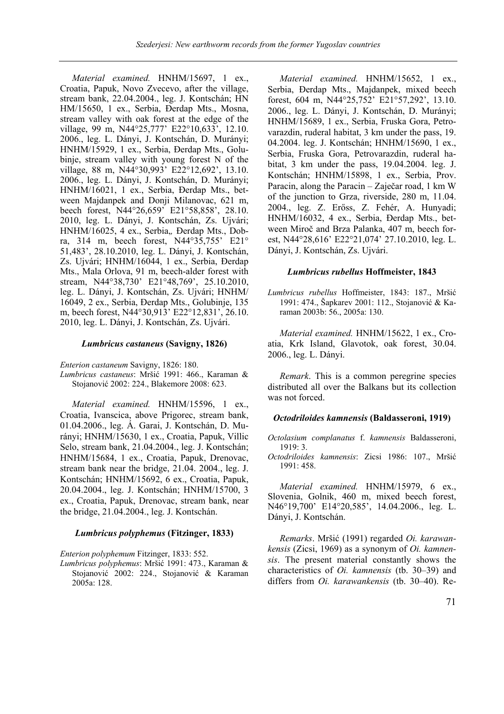*Material examined.* HNHM/15697, 1 ex., Croatia, Papuk, Novo Zvecevo, after the village, stream bank, 22.04.2004., leg. J. Kontschán; HN HM/15650, 1 ex., Serbia, Đerdap Mts., Mosna, stream valley with oak forest at the edge of the village, 99 m, N44°25,777' E22°10,633', 12.10. 2006., leg. L. Dányi, J. Kontschán, D. Murányi; HNHM/15929, 1 ex., Serbia, Đerdap Mts., Golubinje, stream valley with young forest N of the village, 88 m, N44°30,993' E22°12,692', 13.10. 2006., leg. L. Dányi, J. Kontschán, D. Murányi; HNHM/16021, 1 ex., Serbia, Đerdap Mts., between Majdanpek and Donji Milanovac, 621 m, beech forest, N44°26,659' E21°58,858', 28.10. 2010, leg. L. Dányi, J. Kontschán, Zs. Ujvári; HNHM/16025, 4 ex., Serbia,*,* Đerdap Mts., Dobra, 314 m, beech forest, N44°35,755' E21° 51,483', 28.10.2010, leg. L. Dányi, J. Kontschán, Zs. Ujvári; HNHM/16044, 1 ex., Serbia, Đerdap Mts., Mala Orlova, 91 m, beech-alder forest with stream, N44°38,730' E21°48,769', 25.10.2010, leg. L. Dányi, J. Kontschán, Zs. Ujvári; HNHM/ 16049, 2 ex., Serbia, Đerdap Mts., Golubinje, 135 m, beech forest, N44°30,913' E22°12,831', 26.10. 2010, leg. L. Dányi, J. Kontschán, Zs. Ujvári.

#### *Lumbricus castaneus* **(Savigny, 1826)**

*Enterion castaneum* Savigny, 1826: 180. *Lumbricus castaneus*: Mršić 1991: 466., Karaman & Stojanović 2002: 224., Blakemore 2008: 623.

*Material examined.* HNHM/15596, 1 ex., Croatia, Ivanscica, above Prigorec, stream bank, 01.04.2006., leg. Á. Garai, J. Kontschán, D. Murányi; HNHM/15630, 1 ex., Croatia, Papuk, Villic Selo, stream bank, 21.04.2004., leg. J. Kontschán; HNHM/15684, 1 ex., Croatia, Papuk, Drenovac, stream bank near the bridge, 21.04. 2004., leg. J. Kontschán; HNHM/15692, 6 ex., Croatia, Papuk, 20.04.2004., leg. J. Kontschán; HNHM/15700, 3 ex., Croatia, Papuk, Drenovac, stream bank, near the bridge, 21.04.2004., leg. J. Kontschán.

### *Lumbricus polyphemus* **(Fitzinger, 1833)**

*Enterion polyphemum* Fitzinger, 1833: 552.

*Lumbricus polyphemus*: Mršić 1991: 473., Karaman & Stojanović 2002: 224., Stojanović & Karaman 2005a: 128.

*Material examined.* HNHM/15652, 1 ex., Serbia, Đerdap Mts., Majdanpek, mixed beech forest, 604 m, N44°25,752' E21°57,292', 13.10. 2006., leg. L. Dányi, J. Kontschán, D. Murányi; HNHM/15689, 1 ex., Serbia, Fruska Gora, Petrovarazdin, ruderal habitat, 3 km under the pass, 19. 04.2004. leg. J. Kontschán; HNHM/15690, 1 ex., Serbia, Fruska Gora, Petrovarazdin, ruderal habitat, 3 km under the pass, 19.04.2004. leg. J. Kontschán; HNHM/15898, 1 ex., Serbia, Prov. Paracin, along the Paracin – Zaječar road, 1 km W of the junction to Grza, riverside, 280 m, 11.04. 2004., leg. Z. Erőss, Z. Fehér, A. Hunyadi; HNHM/16032, 4 ex., Serbia, Đerdap Mts., between Miroč and Brza Palanka, 407 m, beech forest, N44°28,616' E22°21,074' 27.10.2010, leg. L. Dányi, J. Kontschán, Zs. Ujvári.

#### *Lumbricus rubellus* **Hoffmeister, 1843**

*Lumbricus rubellus* Hoffmeister, 1843: 187., Mršić 1991: 474., Šapkarev 2001: 112., Stojanović & Karaman 2003b: 56., 2005a: 130.

*Material examined.* HNHM/15622, 1 ex., Croatia, Krk Island, Glavotok, oak forest, 30.04. 2006., leg. L. Dányi.

*Remark*. This is a common peregrine species distributed all over the Balkans but its collection was not forced.

#### *Octodriloides kamnensis* **(Baldasseroni, 1919)**

*Octolasium complanatus* f. *kamnensis* Baldasseroni, 1919: 3.

*Octodriloides kamnensis*: Zicsi 1986: 107., Mršić 1991: 458.

*Material examined.* HNHM/15979, 6 ex., Slovenia, Golnik, 460 m, mixed beech forest, N46°19,700' E14°20,585', 14.04.2006., leg. L. Dányi, J. Kontschán.

*Remarks*. Mršić (1991) regarded *Oi. karawankensis* (Zicsi, 1969) as a synonym of *Oi. kamnensis*. The present material constantly shows the characteristics of *Oi. kamnensis* (tb. 30–39) and differs from *Oi. karawankensis* (tb. 30–40). Re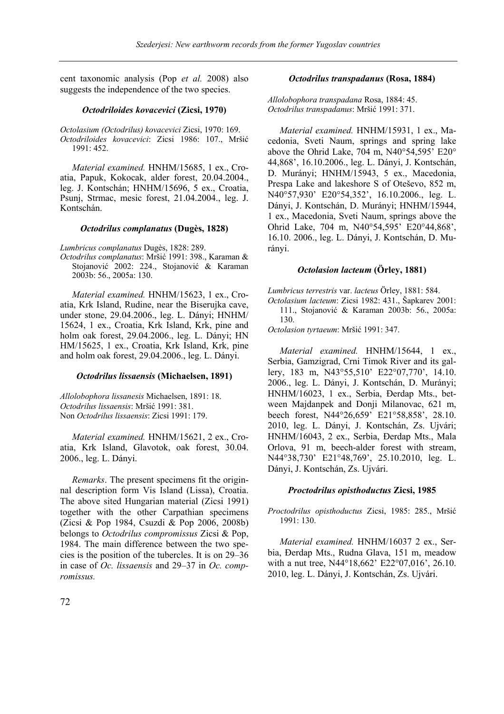cent taxonomic analysis (Pop *et al.* 2008) also suggests the independence of the two species.

## *Octodriloides kovacevici* **(Zicsi, 1970)**

*Octolasium (Octodrilus) kovacevici* Zicsi, 1970: 169. *Octodriloides kovacevici*: Zicsi 1986: 107., Mršić 1991: 452.

*Material examined.* HNHM/15685, 1 ex., Croatia, Papuk, Kokocak, alder forest, 20.04.2004., leg. J. Kontschán; HNHM/15696, 5 ex., Croatia, Psunj, Strmac, mesic forest, 21.04.2004., leg. J. Kontschán.

## *Octodrilus complanatus* **(Dugès, 1828)**

*Lumbricus complanatus* Dugès, 1828: 289.

*Octodrilus complanatus*: Mršić 1991: 398., Karaman & Stojanović 2002: 224., Stojanović & Karaman 2003b: 56., 2005a: 130.

*Material examined.* HNHM/15623, 1 ex., Croatia, Krk Island, Rudine, near the Biserujka cave, under stone, 29.04.2006., leg. L. Dányi; HNHM/ 15624, 1 ex., Croatia, Krk Island, Krk, pine and holm oak forest, 29.04.2006., leg. L. Dányi; HN HM/15625, 1 ex., Croatia, Krk Island, Krk, pine and holm oak forest, 29.04.2006., leg. L. Dányi.

## *Octodrilus lissaensis* **(Michaelsen, 1891)**

*Allolobophora lissanesis* Michaelsen, 1891: 18. *Octodrilus lissaensis*: Mršić 1991: 381. Non *Octodrilus lissaensis*: Zicsi 1991: 179.

*Material examined.* HNHM/15621, 2 ex., Croatia, Krk Island, Glavotok, oak forest, 30.04. 2006., leg. L. Dányi.

*Remarks*. The present specimens fit the originnal description form Vis Island (Lissa), Croatia. The above sited Hungarian material (Zicsi 1991) together with the other Carpathian specimens (Zicsi & Pop 1984, Csuzdi & Pop 2006, 2008b) belongs to *Octodrilus compromissus* Zicsi & Pop, 1984. The main difference between the two species is the position of the tubercles. It is on 29–36 in case of *Oc. lissaensis* and 29–37 in *Oc. compromissus.*

## *Octodrilus transpadanus* **(Rosa, 1884)**

*Allolobophora transpadana* Rosa, 1884: 45. *Octodrilus transpadanus*: Mršić 1991: 371.

*Material examined.* HNHM/15931, 1 ex., Macedonia, Sveti Naum, springs and spring lake above the Ohrid Lake, 704 m, N40°54,595' E20° 44,868', 16.10.2006., leg. L. Dányi, J. Kontschán, D. Murányi; HNHM/15943, 5 ex., Macedonia, Prespa Lake and lakeshore S of Oteševo, 852 m, N40°57,930' E20°54,352', 16.10.2006., leg. L. Dányi, J. Kontschán, D. Murányi; HNHM/15944, 1 ex., Macedonia, Sveti Naum, springs above the Ohrid Lake, 704 m, N40°54,595' E20°44,868', 16.10. 2006., leg. L. Dányi, J. Kontschán, D. Murányi.

## *Octolasion lacteum* **(Örley, 1881)**

*Lumbricus terrestris* var. *lacteus* Örley, 1881: 584.

*Octolasium lacteum*: Zicsi 1982: 431., Šapkarev 2001: 111., Stojanović & Karaman 2003b: 56., 2005a: 130.

*Octolasion tyrtaeum*: Mršić 1991: 347.

*Material examined.* HNHM/15644, 1 ex., Serbia, Gamzigrad, Crni Timok River and its gallery, 183 m, N43°55,510' E22°07,770', 14.10. 2006., leg. L. Dányi, J. Kontschán, D. Murányi; HNHM/16023, 1 ex., Serbia, Đerdap Mts., between Majdanpek and Donji Milanovac, 621 m, beech forest, N44°26,659' E21°58,858', 28.10. 2010, leg. L. Dányi, J. Kontschán, Zs. Ujvári; HNHM/16043, 2 ex., Serbia, Đerdap Mts., Mala Orlova, 91 m, beech-alder forest with stream, N44°38,730' E21°48,769', 25.10.2010, leg. L. Dányi, J. Kontschán, Zs. Ujvári.

## *Proctodrilus opisthoductus* **Zicsi, 1985**

*Proctodrilus opisthoductus* Zicsi, 1985: 285., Mršić 1991: 130.

*Material examined.* HNHM/16037 2 ex., Serbia, Đerdap Mts., Rudna Glava, 151 m, meadow with a nut tree, N44°18,662' E22°07,016', 26.10. 2010, leg. L. Dányi, J. Kontschán, Zs. Ujvári.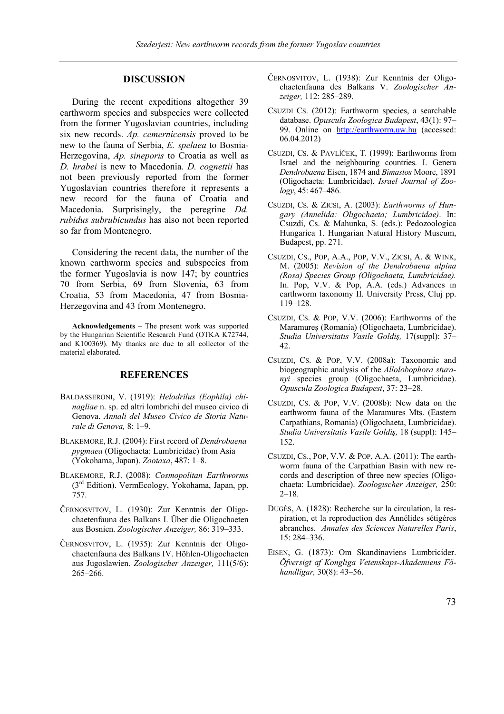## **DISCUSSION**

During the recent expeditions altogether 39 earthworm species and subspecies were collected from the former Yugoslavian countries, including six new records. *Ap. cemernicensis* proved to be new to the fauna of Serbia, *E. spelaea* to Bosnia-Herzegovina, *Ap. sineporis* to Croatia as well as *D. hrabei* is new to Macedonia. *D. cognettii* has not been previously reported from the former Yugoslavian countries therefore it represents a new record for the fauna of Croatia and Macedonia. Surprisingly, the peregrine *Dd. rubidus subrubicundus* has also not been reported so far from Montenegro.

Considering the recent data, the number of the known earthworm species and subspecies from the former Yugoslavia is now 147; by countries 70 from Serbia, 69 from Slovenia, 63 from Croatia, 53 from Macedonia, 47 from Bosnia-Herzegovina and 43 from Montenegro.

**Acknowledgements –** The present work was supported by the Hungarian Scientific Research Fund (OTKA K72744, and K100369). My thanks are due to all collector of the material elaborated.

## **REFERENCES**

- BALDASSERONI, V. (1919): *Helodrilus (Eophila) chinagliae* n. sp. ed altri lombrichi del museo civico di Genova. *Annali del Museo Civico de Storia Naturale di Genova,* 8: 1–9.
- BLAKEMORE, R.J. (2004): First record of *Dendrobaena pygmaea* (Oligochaeta: Lumbricidae) from Asia (Yokohama, Japan). *Zootaxa*, 487: 1–8.
- BLAKEMORE, R.J. (2008): *Cosmopolitan Earthworms* (3rd Edition). VermEcology, Yokohama, Japan, pp. 757.
- ČERNOSVITOV, L. (1930): Zur Kenntnis der Oligochaetenfauna des Balkans I. Über die Oligochaeten aus Bosnien. *Zoologischer Anzeiger,* 86: 319–333.
- ČERNOSVITOV, L. (1935): Zur Kenntnis der Oligochaetenfauna des Balkans IV. Höhlen-Oligochaeten aus Jugoslawien. *Zoologischer Anzeiger,* 111(5/6): 265–266.
- ČERNOSVITOV, L. (1938): Zur Kenntnis der Oligochaetenfauna des Balkans V. *Zoologischer Anzeiger,* 112: 285–289.
- CSUZDI CS. (2012): Earthworm species, a searchable database. *Opuscula Zoologica Budapest*, 43(1): 97– 99. Online on http://earthworm.uw.hu (accessed: 06.04.2012)
- CSUZDI, CS. & PAVLÍČEK, T. (1999): Earthworms from Israel and the neighbouring countries. I. Genera *Dendrobaena* Eisen, 1874 and *Bimastos* Moore, 1891 (Oligochaeta: Lumbricidae). *Israel Journal of Zoology*, 45: 467–486.
- CSUZDI, CS. & ZICSI, A. (2003): *Earthworms of Hungary (Annelida: Oligochaeta; Lumbricidae)*. In: Csuzdi, Cs. & Mahunka, S. (eds.): Pedozoologica Hungarica 1. Hungarian Natural History Museum, Budapest, pp. 271.
- CSUZDI, CS., POP, A.A., POP, V.V., ZICSI, A. & WINK, M. (2005): *Revision of the Dendrobaena alpina (Rosa) Species Group (Oligochaeta, Lumbricidae).* In. Pop, V.V. & Pop, A.A. (eds.) Advances in earthworm taxonomy II. University Press, Cluj pp. 119–128.
- CSUZDI, CS. & POP, V.V. (2006): Earthworms of the Maramureş (Romania) (Oligochaeta, Lumbricidae). *Studia Universitatis Vasile Goldiş,* 17(suppl): 37– 42.
- CSUZDI, CS. & POP, V.V. (2008a): Taxonomic and biogeographic analysis of the *Allolobophora sturanyi* species group (Oligochaeta, Lumbricidae). *Opuscula Zoologica Budapest*, 37: 23–28.
- CSUZDI, CS. & POP, V.V. (2008b): New data on the earthworm fauna of the Maramures Mts. (Eastern Carpathians, Romania) (Oligochaeta, Lumbricidae). *Studia Universitatis Vasile Goldiş,* 18 (suppl): 145– 152.
- CSUZDI, CS., POP, V.V. & POP, A.A. (2011): The earthworm fauna of the Carpathian Basin with new records and description of three new species (Oligochaeta: Lumbricidae). *Zoologischer Anzeiger,* 250: 2–18.
- DUGÈS, A. (1828): Recherche sur la circulation, la respiration, et la reproduction des Annélides sétigéres abranches. *Annales des Sciences Naturelles Paris*, 15: 284–336.
- EISEN, G. (1873): Om Skandinaviens Lumbricider. *Öfversigt af Kongliga Vetenskaps-Akademiens Föhandligar,* 30(8): 43–56.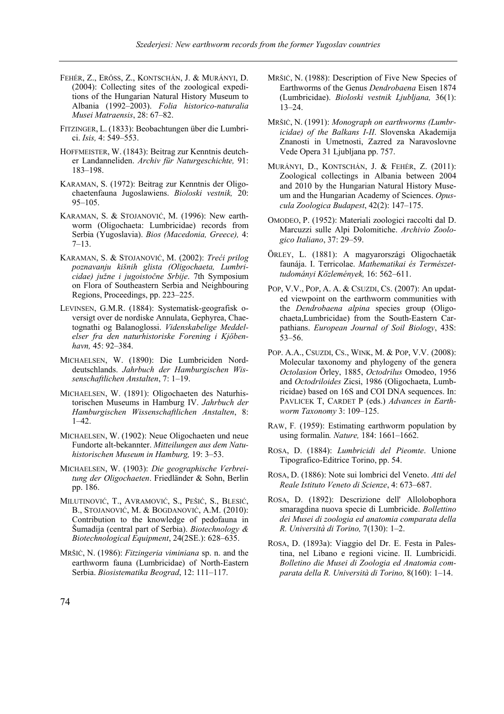- FEHÉR, Z., ERŐSS, Z., KONTSCHÁN, J. & MURÁNYI, D. (2004): Collecting sites of the zoological expeditions of the Hungarian Natural History Museum to Albania (1992–2003). *Folia historico-naturalia Musei Matraensis*, 28: 67–82.
- FITZINGER, L. (1833): Beobachtungen über die Lumbrici. *Isis,* 4: 549–553.
- HOFFMEISTER, W. (1843): Beitrag zur Kenntnis deutcher Landanneliden. *Archiv für Naturgeschichte,* 91: 183–198.
- KARAMAN, S. (1972): Beitrag zur Kenntnis der Oligochaetenfauna Jugoslawiens. *Bioloski vestnik,* 20: 95–105.
- KARAMAN, S. & STOJANOVIĆ, M. (1996): New earthworm (Oligochaeta: Lumbricidae) records from Serbia (Yugoslavia). *Bios (Macedonia, Greece),* 4: 7–13.
- KARAMAN, S. & STOJANOVIĆ, M. (2002): *Treći prilog poznavanju kišnih glista (Oligochaeta, Lumbricidae) južne i jugoistočne Srbije*. 7th Symposium on Flora of Southeastern Serbia and Neighbouring Regions, Proceedings, pp. 223–225.
- LEVINSEN, G.M.R. (1884): Systematisk-geografisk oversigt over de nordiske Annulata, Gephyrea, Chaetognathi og Balanoglossi. *Videnskabelige Meddelelser fra den naturhistoriske Forening i Kjöbenhavn,* 45: 92–384.
- MICHAELSEN, W. (1890): Die Lumbriciden Norddeutschlands. *Jahrbuch der Hamburgischen Wissenschaftlichen Anstalten*, 7: 1–19.
- MICHAELSEN, W. (1891): Oligochaeten des Naturhistorischen Museums in Hamburg IV. *Jahrbuch der Hamburgischen Wissenschaftlichen Anstalten*, 8: 1–42.
- MICHAELSEN, W. (1902): Neue Oligochaeten und neue Fundorte alt-bekannter. *Mitteilungen aus dem Natuhistorischen Museum in Hamburg,* 19: 3–53.
- MICHAELSEN, W. (1903): *Die geographische Verbreitung der Oligochaeten*. Friedländer & Sohn, Berlin pp. 186.
- MILUTINOVIĆ, T., AVRAMOVIĆ, S., PEŠIĆ, S., BLESIĆ, B., STOJANOVIĆ, M. & BOGDANOVIĆ, A.M. (2010): Contribution to the knowledge of pedofauna in Šumadija (central part of Serbia). *Biotechnology & Biotechnological Equipment*, 24(2SE.): 628–635.
- MRŠIĊ, N. (1986): *Fitzingeria viminiana* sp. n. and the earthworm fauna (Lumbricidae) of North-Eastern Serbia. *Biosistematika Beograd*, 12: 111–117.
- MRŠIĊ, N. (1988): Description of Five New Species of Earthworms of the Genus *Dendrobaena* Eisen 1874 (Lumbricidae). *Bioloski vestnik Ljubljana,* 36(1): 13–24.
- MRŠIĊ, N. (1991): *Monograph on earthworms (Lumbricidae) of the Balkans I-II*. Slovenska Akademija Znanosti in Umetnosti, Zazred za Naravoslovne Vede Opera 31 Ljubljana pp. 757.
- MURÁNYI, D., KONTSCHÁN, J. & FEHÉR, Z. (2011): Zoological collectings in Albania between 2004 and 2010 by the Hungarian Natural History Museum and the Hungarian Academy of Sciences. *Opuscula Zoologica Budapest*, 42(2): 147–175.
- OMODEO, P. (1952): Materiali zoologici raccolti dal D. Marcuzzi sulle Alpi Dolomitiche. *Archivio Zoologico Italiano*, 37: 29–59.
- ÖRLEY, L. (1881): A magyarországi Oligochaeták faunája. I. Terricolae. *Mathematikai és Természettudományi Közlemények,* 16: 562–611.
- POP, V.V., POP, A. A. & CSUZDI, CS. (2007): An updated viewpoint on the earthworm communities with the *Dendrobaena alpina* species group (Oligochaeta,Lumbricidae) from the South-Eastern Carpathians. *European Journal of Soil Biology*, 43S: 53–56.
- POP. A.A., CSUZDI, CS., WINK, M. & POP, V.V. (2008): Molecular taxonomy and phylogeny of the genera *Octolasion* Örley, 1885, *Octodrilus* Omodeo, 1956 and *Octodriloides* Zicsi, 1986 (Oligochaeta, Lumbricidae) based on 16S and COI DNA sequences. In: PAVLICEK T, CARDET P (eds.) *Advances in Earthworm Taxonomy* 3: 109–125.
- RAW, F*.* (1959): Estimating earthworm population by using formalin*. Nature,* 184: 1661–1662.
- ROSA, D. (1884): *Lumbricidi del Pieomte*. Unione Tipografico-Editrice Torino, pp. 54.
- ROSA, D. (1886): Note sui lombrici del Veneto. *Atti del Reale Istituto Veneto di Scienze*, 4: 673–687.
- ROSA, D. (1892): Descrizione dell' Allolobophora smaragdina nuova specie di Lumbricide. *Bollettino dei Musei di zoologia ed anatomia comparata della R. Università di Torino,* 7(130): 1–2.
- ROSA, D. (1893a): Viaggio del Dr. E. Festa in Palestina, nel Libano e regioni vicine. II. Lumbricidi. *Bolletino die Musei di Zoologia ed Anatomia comparata della R. Università di Torino,* 8(160): 1–14.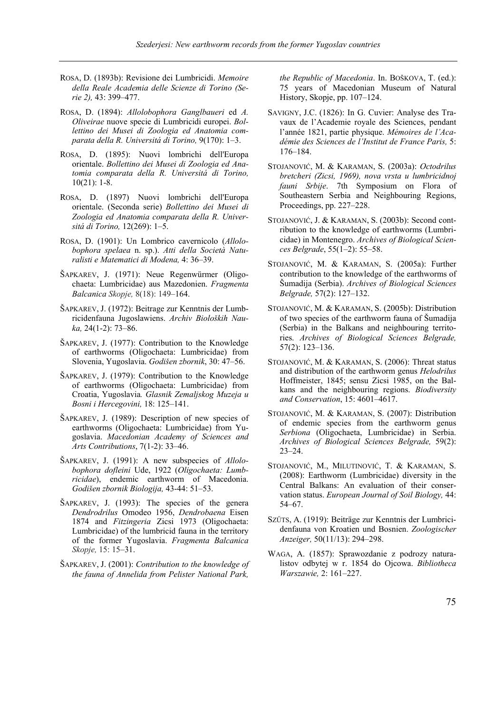- ROSA, D. (1893b): Revisione dei Lumbricidi. *Memoire della Reale Academia delle Scienze di Torino (Serie 2),* 43: 399–477.
- ROSA, D. (1894): *Allolobophora Ganglbaueri* ed *A. Oliveirae* nuove specie di Lumbricidi europei. *Bollettino dei Musei di Zoologia ed Anatomia comparata della R. Universitá di Torino,* 9(170): 1–3.
- ROSA, D. (1895): Nuovi lombrichi dell'Europa orientale. *Bollettino dei Musei di Zoologia ed Anatomia comparata della R. Universitá di Torino,* 10(21): 1-8.
- ROSA, D. (1897) Nuovi lombrichi dell'Europa orientale. (Seconda serie) *Bollettino dei Musei di Zoologia ed Anatomia comparata della R. Universitá di Torino,* 12(269): 1–5.
- ROSA, D. (1901): Un Lombrico cavernicolo (*Allolobophora spelaea* n. sp.). *Atti della Società Naturalisti e Matematici di Modena,* 4: 36–39.
- ŠAPKAREV, J. (1971): Neue Regenwürmer (Oligochaeta: Lumbricidae) aus Mazedonien. *Fragmenta Balcanica Skopje,* 8(18): 149–164.
- ŠAPKAREV, J. (1972): Beitrage zur Kenntnis der Lumbricidenfauna Jugoslawiens. *Archiv Bioloških Nauka,* 24(1-2): 73–86.
- ŠAPKAREV, J. (1977): Contribution to the Knowledge of earthworms (Oligochaeta: Lumbricidae) from Slovenia, Yugoslavia. *Godišen zbornik*, 30: 47–56.
- ŠAPKAREV, J. (1979): Contribution to the Knowledge of earthworms (Oligochaeta: Lumbricidae) from Croatia, Yugoslavia*. Glasnik Zemaljskog Muzeja u Bosni i Hercegovini,* 18: 125–141.
- ŠAPKAREV, J. (1989): Description of new species of earthworms (Oligochaeta: Lumbricidae) from Yugoslavia. *Macedonian Academy of Sciences and Arts Contributions*, 7(1-2): 33–46.
- ŠAPKAREV, J. (1991): A new subspecies of *Allolobophora dofleini* Ude, 1922 (*Oligochaeta: Lumbricidae*), endemic earthworm of Macedonia. *Godišen zbornik Biologija,* 43-44: 51–53.
- ŠAPKAREV, J. (1993): The species of the genera *Dendrodrilus* Omodeo 1956, *Dendrobaena* Eisen 1874 and *Fitzingeria* Zicsi 1973 (Oligochaeta: Lumbricidae) of the lumbricid fauna in the territory of the former Yugoslavia. *Fragmenta Balcanica Skopje,* 15: 15–31.
- ŠAPKAREV, J. (2001): *Contribution to the knowledge of the fauna of Annelida from Pelister National Park,*

*the Republic of Macedonia*. In. BOŠKOVA, T. (ed.): 75 years of Macedonian Museum of Natural History, Skopje, pp. 107–124.

- SAVIGNY, J.C. (1826): In G. Cuvier: Analyse des Travaux de l'Academie royale des Sciences, pendant l'année 1821, partie physique. *Mémoires de l'Académie des Sciences de l'Institut de France Paris,* 5: 176–184.
- STOJANOVIĆ, M. & KARAMAN, S. (2003a): *Octodrilus bretcheri (Zicsi, 1969), nova vrsta u lumbricidnoj fauni Srbije*. 7th Symposium on Flora of Southeastern Serbia and Neighbouring Regions, Proceedings, pp. 227–228.
- STOJANOVIĆ, J. & KARAMAN, S. (2003b): Second contribution to the knowledge of earthworms (Lumbricidae) in Montenegro. *Archives of Biological Sciences Belgrade*, 55(1–2): 55–58.
- STOJANOVIĆ, M. & KARAMAN, S. (2005a): Further contribution to the knowledge of the earthworms of Šumadija (Serbia). *Archives of Biological Sciences Belgrade,* 57(2): 127–132.
- STOJANOVIĆ, M. & KARAMAN, S. (2005b): Distribution of two species of the earthworm fauna of Šumadija (Serbia) in the Balkans and neighbouring territories. *Archives of Biological Sciences Belgrade,*  57(2): 123–136.
- STOJANOVIĆ, M. & KARAMAN, S. (2006): Threat status and distribution of the earthworm genus *Helodrilus* Hoffmeister, 1845; sensu Zicsi 1985, on the Balkans and the neighbouring regions. *Biodiversity and Conservation*, 15: 4601–4617.
- STOJANOVIĆ, M. & KARAMAN, S. (2007): Distribution of endemic species from the earthworm genus *Serbiona* (Oligochaeta, Lumbricidae) in Serbia. *Archives of Biological Sciences Belgrade,* 59(2): 23–24.
- STOJANOVIĆ, M., MILUTINOVIĆ, T. & KARAMAN, S. (2008): Earthworm (Lumbricidae) diversity in the Central Balkans: An evaluation of their conservation status. *European Journal of Soil Biology,* 44: 54–67.
- SZŰTS, A. (1919): Beiträge zur Kenntnis der Lumbricidenfauna von Kroatien und Bosnien. *Zoologischer Anzeiger,* 50(11/13): 294–298.
- WAGA, A. (1857): Sprawozdanie z podrozy naturalistov odbytej w r. 1854 do Ojcowa. *Bibliotheca Warszawie,* 2: 161–227.